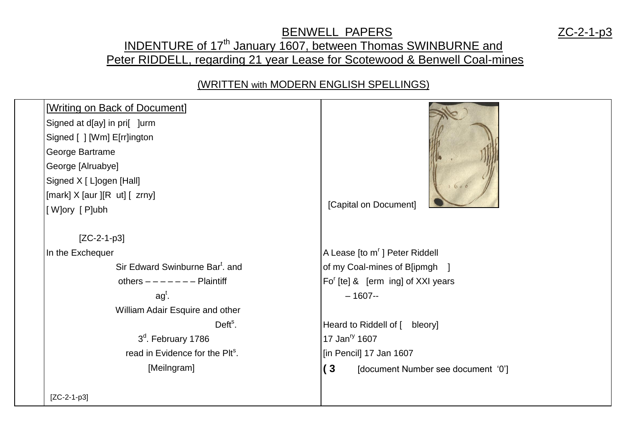## BENWELL PAPERS ZC-2-1-p3 INDENTURE of 17<sup>th</sup> January 1607, between Thomas SWINBURNE and Peter RIDDELL, regarding 21 year Lease for Scotewood & Benwell Coal-mines

## (WRITTEN with MODERN ENGLISH SPELLINGS)

| [Writing on Back of Document]<br>Signed at d[ay] in pri[ ]urm<br>Signed [ ] [Wm] E[rr]ington<br>George Bartrame<br>George [Alruabye]<br>Signed X [ L]ogen [Hall]<br>[mark] $X$ [aur ][R ut] [ zrny]<br>[W]ory [P]ubh | 1606<br>[Capital on Document]             |
|----------------------------------------------------------------------------------------------------------------------------------------------------------------------------------------------------------------------|-------------------------------------------|
| $[ZC-2-1-p3]$                                                                                                                                                                                                        |                                           |
| In the Exchequer                                                                                                                                                                                                     | A Lease [to m'] Peter Riddell             |
| Sir Edward Swinburne Bar <sup>t</sup> . and                                                                                                                                                                          | of my Coal-mines of B[ipmgh ]             |
| others $------$ Plaintiff                                                                                                                                                                                            | $Fo^{r}$ [te] & [erm ing] of XXI years    |
| $agt$ .                                                                                                                                                                                                              | $-1607-$                                  |
| William Adair Esquire and other                                                                                                                                                                                      |                                           |
| $Defts$ .                                                                                                                                                                                                            | Heard to Riddell of [ bleory]             |
| 3 <sup>d</sup> . February 1786                                                                                                                                                                                       | 17 Jan <sup>ry</sup> 1607                 |
| read in Evidence for the Plt <sup>s</sup> .                                                                                                                                                                          | [in Pencil] 17 Jan 1607                   |
| [Meilngram]                                                                                                                                                                                                          | (3)<br>[document Number see document '0'] |
| $[ZC-2-1-p3]$                                                                                                                                                                                                        |                                           |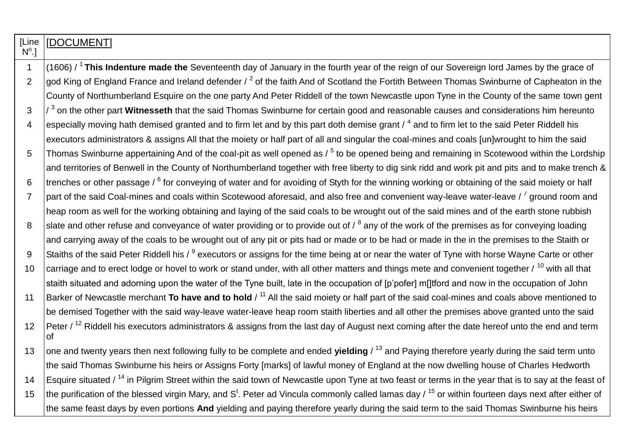| [Line<br>$N^{\circ}$ .] | IDOCUMENT]                                                                                                                                                                |
|-------------------------|---------------------------------------------------------------------------------------------------------------------------------------------------------------------------|
| $\mathbf{1}$            | (1606) / $1$ This Indenture made the Seventeenth day of January in the fourth year of the reign of our Sovereign lord James by the grace of                               |
| $\overline{2}$          | god King of England France and Ireland defender / <sup>2</sup> of the faith And of Scotland the Fortith Between Thomas Swinburne of Capheaton in the                      |
|                         | County of Northumberland Esquire on the one party And Peter Riddell of the town Newcastle upon Tyne in the County of the same town gent                                   |
| 3                       | $\frac{1}{3}$ on the other part Witnesseth that the said Thomas Swinburne for certain good and reasonable causes and considerations him hereunto                          |
| $\overline{4}$          | especially moving hath demised granted and to firm let and by this part doth demise grant / 4 and to firm let to the said Peter Riddell his                               |
|                         | executors administrators & assigns All that the moiety or half part of all and singular the coal-mines and coals [un]wrought to him the said                              |
| 5                       | Thomas Swinburne appertaining And of the coal-pit as well opened as $/5$ to be opened being and remaining in Scotewood within the Lordship                                |
|                         | and territories of Benwell in the County of Northumberland together with free liberty to dig sink ridd and work pit and pits and to make trench &                         |
| 6                       | trenches or other passage / <sup>6</sup> for conveying of water and for avoiding of Styth for the winning working or obtaining of the said moiety or half                 |
| $\overline{7}$          | part of the said Coal-mines and coals within Scotewood aforesaid, and also free and convenient way-leave water-leave / <sup>7</sup> ground room and                       |
|                         | heap room as well for the working obtaining and laying of the said coals to be wrought out of the said mines and of the earth stone rubbish                               |
| 8                       | slate and other refuse and conveyance of water providing or to provide out of $\ell^8$ any of the work of the premises as for conveying loading                           |
|                         | and carrying away of the coals to be wrought out of any pit or pits had or made or to be had or made in the in the premises to the Staith or                              |
| 9                       | Staiths of the said Peter Riddell his / <sup>9</sup> executors or assigns for the time being at or near the water of Tyne with horse Wayne Carte or other                 |
| 10                      | carriage and to erect lodge or hovel to work or stand under, with all other matters and things mete and convenient together $\ell^{10}$ with all that                     |
|                         | staith situated and adorning upon the water of the Tyne built, late in the occupation of [p'pofer] m[]tford and now in the occupation of John                             |
| 11                      | Barker of Newcastle merchant To have and to hold / <sup>11</sup> All the said moiety or half part of the said coal-mines and coals above mentioned to                     |
|                         | be demised Together with the said way-leave water-leave heap room staith liberties and all other the premises above granted unto the said                                 |
| 12                      | Peter / <sup>12</sup> Riddell his executors administrators & assigns from the last day of August next coming after the date hereof unto the end and term<br><b>of</b>     |
| 13                      | one and twenty years then next following fully to be complete and ended yielding / 13 and Paying therefore yearly during the said term unto                               |
|                         | the said Thomas Swinburne his heirs or Assigns Forty [marks] of lawful money of England at the now dwelling house of Charles Hedworth                                     |
| 14                      | Esquire situated / <sup>14</sup> in Pilgrim Street within the said town of Newcastle upon Tyne at two feast or terms in the year that is to say at the feast of           |
| 15                      | the purification of the blessed virgin Mary, and S <sup>t</sup> . Peter ad Vincula commonly called lamas day / <sup>15</sup> or within fourteen days next after either of |
|                         | the same feast days by even portions And yielding and paying therefore yearly during the said term to the said Thomas Swinburne his heirs                                 |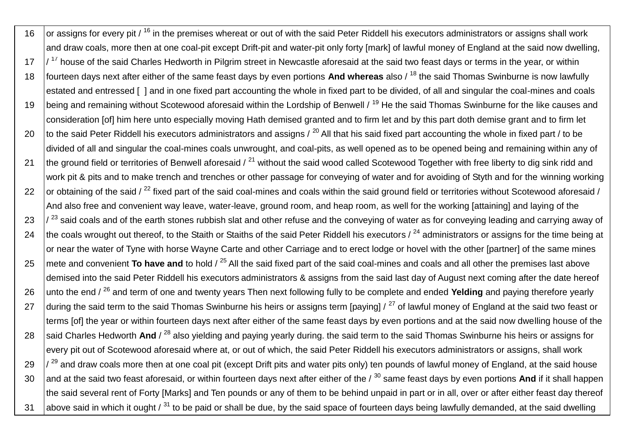16  $\,$  or assigns for every pit / <sup>16</sup> in the premises whereat or out of with the said Peter Riddell his executors administrators or assigns shall work and draw coals, more then at one coal-pit except Drift-pit and water-pit only forty [mark] of lawful money of England at the said now dwelling,  $17$   $\frac{1}{17}$  house of the said Charles Hedworth in Pilgrim street in Newcastle aforesaid at the said two feast days or terms in the year, or within 18 fourteen days next after either of the same feast days by even portions **And whereas** also / <sup>18</sup> the said Thomas Swinburne is now lawfully estated and entressed [ ] and in one fixed part accounting the whole in fixed part to be divided, of all and singular the coal-mines and coals 19 | being and remaining without Scotewood aforesaid within the Lordship of Benwell / <sup>19</sup> He the said Thomas Swinburne for the like causes and consideration [of] him here unto especially moving Hath demised granted and to firm let and by this part doth demise grant and to firm let 20 to the said Peter Riddell his executors administrators and assigns  $\ell^{20}$  All that his said fixed part accounting the whole in fixed part  $\ell$  to be divided of all and singular the coal-mines coals unwrought, and coal-pits, as well opened as to be opened being and remaining within any of 21 the ground field or territories of Benwell aforesaid  $\ell^{21}$  without the said wood called Scotewood Together with free liberty to dig sink ridd and work pit & pits and to make trench and trenches or other passage for conveying of water and for avoiding of Styth and for the winning working 22  $\frac{1}{2}$  or obtaining of the said / <sup>22</sup> fixed part of the said coal-mines and coals within the said ground field or territories without Scotewood aforesaid / And also free and convenient way leave, water-leave, ground room, and heap room, as well for the working [attaining] and laying of the  $23$   $\frac{1}{23}$  said coals and of the earth stones rubbish slat and other refuse and the conveying of water as for conveying leading and carrying away of 24 the coals wrought out thereof, to the Staith or Staiths of the said Peter Riddell his executors  $\ell^{24}$  administrators or assigns for the time being at or near the water of Tyne with horse Wayne Carte and other Carriage and to erect lodge or hovel with the other [partner] of the same mines 25 mete and convenient **To have and** to hold / <sup>25</sup> All the said fixed part of the said coal-mines and coals and all other the premises last above demised into the said Peter Riddell his executors administrators & assigns from the said last day of August next coming after the date hereof 26 unto the end /<sup>26</sup> and term of one and twenty years Then next following fully to be complete and ended **Yelding** and paying therefore yearly 27 during the said term to the said Thomas Swinburne his heirs or assigns term [paying]  $/27$  of lawful money of England at the said two feast or terms [of] the year or within fourteen days next after either of the same feast days by even portions and at the said now dwelling house of the 28 said Charles Hedworth And / <sup>28</sup> also yielding and paying yearly during. the said term to the said Thomas Swinburne his heirs or assigns for every pit out of Scotewood aforesaid where at, or out of which, the said Peter Riddell his executors administrators or assigns, shall work  $29$   $\frac{1}{29}$  and draw coals more then at one coal pit (except Drift pits and water pits only) ten pounds of lawful money of England, at the said house 30 and at the said two feast aforesaid, or within fourteen days next after either of the / <sup>30</sup> same feast days by even portions And if it shall happen the said several rent of Forty [Marks] and Ten pounds or any of them to be behind unpaid in part or in all, over or after either feast day thereof 31 above said in which it ought  $\ell^{31}$  to be paid or shall be due, by the said space of fourteen days being lawfully demanded, at the said dwelling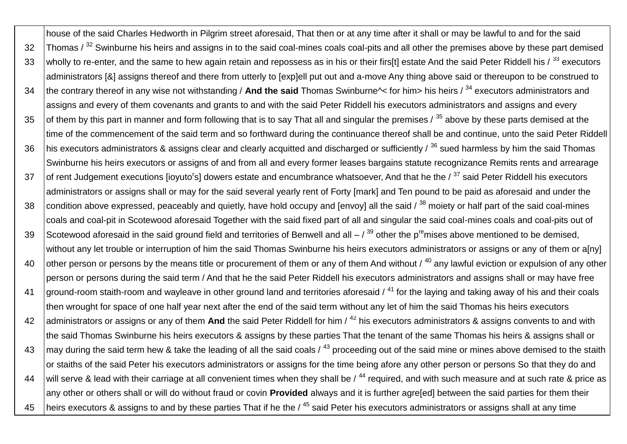house of the said Charles Hedworth in Pilgrim street aforesaid, That then or at any time after it shall or may be lawful to and for the said 32 Thomas / <sup>32</sup> Swinburne his heirs and assigns in to the said coal-mines coals coal-pits and all other the premises above by these part demised 33 wholly to re-enter, and the same to hew again retain and repossess as in his or their firs[t] estate And the said Peter Riddell his  $/33$  executors administrators [&] assigns thereof and there from utterly to [exp]ell put out and a-move Any thing above said or thereupon to be construed to 34 the contrary thereof in any wise not withstanding / **And the said** Thomas Swinburne^< for him> his heirs / <sup>34</sup> executors administrators and assigns and every of them covenants and grants to and with the said Peter Riddell his executors administrators and assigns and every 35 of them by this part in manner and form following that is to say That all and singular the premises  $\frac{1}{35}$  above by these parts demised at the time of the commencement of the said term and so forthward during the continuance thereof shall be and continue, unto the said Peter Riddell 36  $\,$  his executors administrators & assigns clear and clearly acquitted and discharged or sufficiently /  $^{36}$  sued harmless by him the said Thomas Swinburne his heirs executors or assigns of and from all and every former leases bargains statute recognizance Remits rents and arrearage 37  $\int$  of rent Judgement executions [ioyuto<sup>r</sup>s] dowers estate and encumbrance whatsoever, And that he the /  $^{37}$  said Peter Riddell his executors administrators or assigns shall or may for the said several yearly rent of Forty [mark] and Ten pound to be paid as aforesaid and under the 38 condition above expressed, peaceably and quietly, have hold occupy and [envoy] all the said  $\beta^{38}$  moiety or half part of the said coal-mines coals and coal-pit in Scotewood aforesaid Together with the said fixed part of all and singular the said coal-mines coals and coal-pits out of 39 Scotewood aforesaid in the said ground field and territories of Benwell and all  $-$  /  $^{39}$  other the p<sup>re</sup>mises above mentioned to be demised, without any let trouble or interruption of him the said Thomas Swinburne his heirs executors administrators or assigns or any of them or a[ny] 40 other person or persons by the means title or procurement of them or any of them And without  $\ell^{40}$  any lawful eviction or expulsion of any other person or persons during the said term / And that he the said Peter Riddell his executors administrators and assigns shall or may have free 41 ground-room staith-room and wayleave in other ground land and territories aforesaid  $\ell^{41}$  for the laying and taking away of his and their coals then wrought for space of one half year next after the end of the said term without any let of him the said Thomas his heirs executors 42 administrators or assigns or any of them And the said Peter Riddell for him / <sup>42</sup> his executors administrators & assigns convents to and with the said Thomas Swinburne his heirs executors & assigns by these parties That the tenant of the same Thomas his heirs & assigns shall or 43  $\,$  may during the said term hew & take the leading of all the said coals /  $^{43}$  proceeding out of the said mine or mines above demised to the staith or staiths of the said Peter his executors administrators or assigns for the time being afore any other person or persons So that they do and 44 will serve & lead with their carriage at all convenient times when they shall be  $/44$  required, and with such measure and at such rate & price as any other or others shall or will do without fraud or covin **Provided** always and it is further agre[ed] between the said parties for them their 45 | heirs executors & assigns to and by these parties That if he the  $/45$  said Peter his executors administrators or assigns shall at any time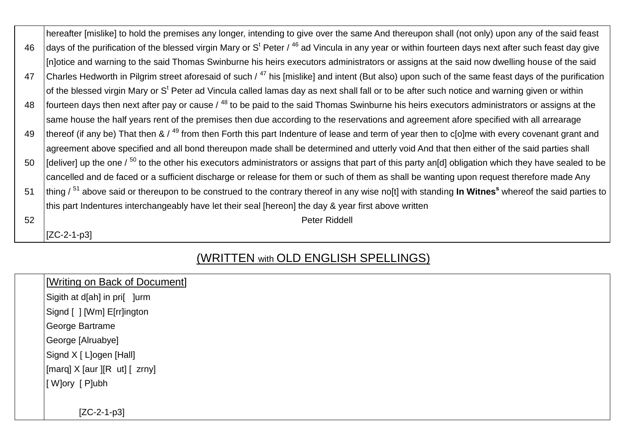|    | hereafter [mislike] to hold the premises any longer, intending to give over the same And thereupon shall (not only) upon any of the said feast                          |
|----|-------------------------------------------------------------------------------------------------------------------------------------------------------------------------|
| 46 | days of the purification of the blessed virgin Mary or S <sup>t</sup> Peter / $46$ ad Vincula in any year or within fourteen days next after such feast day give        |
|    | [In]otice and warning to the said Thomas Swinburne his heirs executors administrators or assigns at the said now dwelling house of the said                             |
| 47 | Charles Hedworth in Pilgrim street aforesaid of such / <sup>47</sup> his [mislike] and intent (But also) upon such of the same feast days of the purification           |
|    | of the blessed virgin Mary or S <sup>t</sup> Peter ad Vincula called lamas day as next shall fall or to be after such notice and warning given or within                |
| 48 | fourteen days then next after pay or cause / <sup>48</sup> to be paid to the said Thomas Swinburne his heirs executors administrators or assigns at the                 |
|    | same house the half years rent of the premises then due according to the reservations and agreement afore specified with all arrearage                                  |
| 49 | thereof (if any be) That then & / <sup>49</sup> from then Forth this part Indenture of lease and term of year then to c[o]me with every covenant grant and              |
|    | agreement above specified and all bond thereupon made shall be determined and utterly void And that then either of the said parties shall                               |
| 50 | [deliver] up the one $\ell^{50}$ to the other his executors administrators or assigns that part of this party an[d] obligation which they have sealed to be             |
|    | cancelled and de faced or a sufficient discharge or release for them or such of them as shall be wanting upon request therefore made Any                                |
| 51 | thing $\frac{51}{1}$ above said or thereupon to be construed to the contrary thereof in any wise no[t] with standing In Witnes <sup>s</sup> whereof the said parties to |
|    | this part Indentures interchangeably have let their seal [hereon] the day & year first above written                                                                    |
| 52 | <b>Peter Riddell</b>                                                                                                                                                    |
|    | IZC-2-1-p31                                                                                                                                                             |

## (WRITTEN with OLD ENGLISH SPELLINGS)

| [Writing on Back of Document] |
|-------------------------------|
|-------------------------------|

Sigith at d[ah] in pri[ ]urm

Signd [ ] [Wm] E[rr]ington

George Bartrame

George [Alruabye]

Signd X [ L]ogen [Hall]

 $\left[\text{marg}\right]$  X  $\left[\text{aur}\right]$   $\left[\text{Ru}\right]$   $\left[\text{Zrny}\right]$ 

[ W]ory [ P]ubh

[ZC-2-1-p3]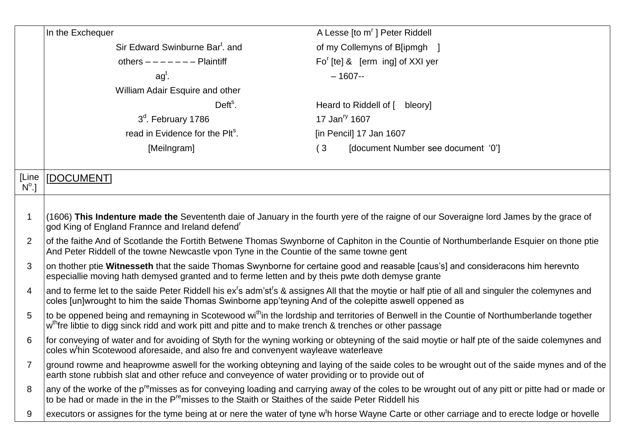|                       | In the Exchequer                                                                                                                                                                                                                                                                    | A Lesse [to m'] Peter Riddell                                                                                                                                |  |
|-----------------------|-------------------------------------------------------------------------------------------------------------------------------------------------------------------------------------------------------------------------------------------------------------------------------------|--------------------------------------------------------------------------------------------------------------------------------------------------------------|--|
|                       | Sir Edward Swinburne Bar <sup>t</sup> . and                                                                                                                                                                                                                                         | of my Collemyns of B[ipmgh ]                                                                                                                                 |  |
|                       | others $------$ Plaintiff                                                                                                                                                                                                                                                           | $Fo'$ [te] & [erm ing] of XXI yer                                                                                                                            |  |
|                       | $agt$ .                                                                                                                                                                                                                                                                             | $-1607-$                                                                                                                                                     |  |
|                       | William Adair Esquire and other                                                                                                                                                                                                                                                     |                                                                                                                                                              |  |
|                       | $Defts$ .                                                                                                                                                                                                                                                                           | Heard to Riddell of [ bleory]                                                                                                                                |  |
|                       | 3 <sup>d</sup> . February 1786                                                                                                                                                                                                                                                      | 17 Jan <sup>ry</sup> 1607                                                                                                                                    |  |
|                       | read in Evidence for the Plt <sup>s</sup> .                                                                                                                                                                                                                                         | [in Pencil] 17 Jan 1607                                                                                                                                      |  |
|                       | [Meilngram]                                                                                                                                                                                                                                                                         | (3)<br>[document Number see document '0']                                                                                                                    |  |
|                       |                                                                                                                                                                                                                                                                                     |                                                                                                                                                              |  |
| [Line<br>$N^{\circ}.$ | [DOCUMENT]                                                                                                                                                                                                                                                                          |                                                                                                                                                              |  |
|                       |                                                                                                                                                                                                                                                                                     |                                                                                                                                                              |  |
| $\mathbf 1$           | god King of England Frannce and Ireland defend <sup>r</sup>                                                                                                                                                                                                                         | (1606) This Indenture made the Sevententh daie of January in the fourth yere of the raigne of our Soveraigne lord James by the grace of                      |  |
| 2                     | of the faithe And of Scotlande the Fortith Betwene Thomas Swynborne of Caphiton in the Countie of Northumberlande Esquier on thone ptie<br>And Peter Riddell of the towne Newcastle vpon Tyne in the Countie of the same towne gent                                                 |                                                                                                                                                              |  |
| 3                     | on thother ptie Witnesseth that the saide Thomas Swynborne for certaine good and reasable [caus's] and consideracons him herevnto<br>especiallie moving hath demysed granted and to ferme letten and by theis pwte doth demyse grante                                               |                                                                                                                                                              |  |
| 4                     | and to ferme let to the saide Peter Riddell his ex <sup>r</sup> s adm'st <sup>r</sup> s & assignes All that the moytie or half ptie of all and singuler the colemynes and<br>coles [un]wrought to him the saide Thomas Swinborne app'teyning And of the colepitte aswell oppened as |                                                                                                                                                              |  |
| 5                     | to be oppened being and remayning in Scotewood wi <sup>th</sup> in the lordship and territories of Benwell in the Countie of Northumberlande together<br>w <sup>th</sup> fre libtie to digg sinck ridd and work pitt and pitte and to make trench & trenches or other passage       |                                                                                                                                                              |  |
| 6                     | for conveying of water and for avoiding of Styth for the wyning working or obteyning of the said moytie or half pte of the saide colemynes and<br>coles w <sup>t</sup> hin Scotewood aforesaide, and also fre and convenyent wayleave waterleave                                    |                                                                                                                                                              |  |
| $\overline{7}$        | earth stone rubbish slat and other refuce and conveyence of water providing or to provide out of                                                                                                                                                                                    | ground rowme and heaprowme aswell for the working obteyning and laying of the saide coles to be wrought out of the saide mynes and of the                    |  |
| 8                     | to be had or made in the in the P <sup>re</sup> misses to the Staith or Staithes of the saide Peter Riddell his                                                                                                                                                                     | any of the worke of the p <sup>re</sup> misses as for conveying loading and carrying away of the coles to be wrought out of any pitt or pitte had or made or |  |
| 9                     |                                                                                                                                                                                                                                                                                     | executors or assignes for the tyme being at or nere the water of tyne w <sup>t</sup> h horse Wayne Carte or other carriage and to erecte lodge or hovelle    |  |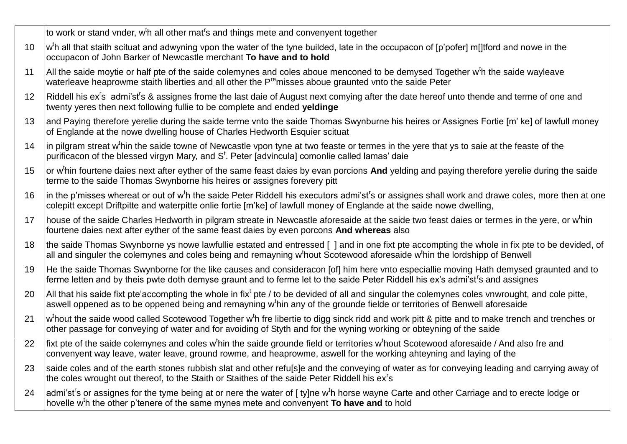to work or stand vnder, w<sup>t</sup>h all other mat<sup>r</sup>s and things mete and convenyent together

- 10 | w<sup>t</sup>h all that staith scituat and adwyning vpon the water of the tyne builded, late in the occupacon of [p'pofer] m[]tford and nowe in the occupacon of John Barker of Newcastle merchant **To have and to hold**
- 11  $\vert$  All the saide moytie or half pte of the saide colemynes and coles aboue menconed to be demysed Together w<sup>t</sup>h the saide wayleave waterleave heaprowme staith liberties and all other the P<sup>re</sup>misses aboue graunted vnto the saide Peter
- 12 | Riddell his ex<sup>r</sup>s admi'st<sup>r</sup>s & assignes frome the last daie of August next comying after the date hereof unto thende and terme of one and twenty yeres then next following fullie to be complete and ended **yeldinge**
- 13 and Paying therefore yerelie during the saide terme vnto the saide Thomas Swynburne his heires or Assignes Fortie [m' ke] of lawfull money of Englande at the nowe dwelling house of Charles Hedworth Esquier scituat
- 14 |in pilgram streat w<sup>t</sup>hin the saide towne of Newcastle vpon tyne at two feaste or termes in the yere that ys to saie at the feaste of the purificacon of the blessed virgyn Mary, and S<sup>t</sup>. Peter [advincula] comonlie called lamas' daie
- 15 or w<sup>t</sup>hin fourtene daies next after eyther of the same feast daies by evan porcions And yelding and paying therefore yerelie during the saide terme to the saide Thomas Swynborne his heires or assignes forevery pitt
- 16 | in the p'misses whereat or out of w<sup>t</sup>h the saide Peter Riddell his executors admi'st<sup>r</sup>s or assignes shall work and drawe coles, more then at one colepitt except Driftpitte and waterpitte onlie fortie [m'ke] of lawfull money of Englande at the saide nowe dwelling,
- 17 | house of the saide Charles Hedworth in pilgram streate in Newcastle aforesaide at the saide two feast daies or termes in the yere, or w<sup>t</sup>hin fourtene daies next after eyther of the same feast daies by even porcons **And whereas** also
- 18 the saide Thomas Swynborne ys nowe lawfullie estated and entressed [1 and in one fixt pte accompting the whole in fix pte to be devided, of all and singuler the colemynes and coles being and remayning w<sup>t</sup>hout Scotewood aforesaide w<sup>t</sup>hin the lordshipp of Benwell
- 19 He the saide Thomas Swynborne for the like causes and consideracon [of] him here vnto especiallie moving Hath demysed graunted and to ferme letten and by theis pwte doth demyse graunt and to ferme let to the saide Peter Riddell his ex's admi'st<sup>r</sup>s and assignes
- 20 All that his saide fixt pte'accompting the whole in fix<sup>t</sup> pte / to be devided of all and singular the colemynes coles vnwrought, and cole pitte, aswell oppened as to be oppened being and remayning w<sup>t</sup>hin any of the grounde fielde or territories of Benwell aforesaide
- 21 w <sup>t</sup>hout the saide wood called Scotewood Together w<sup>t</sup>h fre libertie to digg sinck ridd and work pitt & pitte and to make trench and trenches or other passage for conveying of water and for avoiding of Styth and for the wyning working or obteyning of the saide
- 22 | fixt pte of the saide colemynes and coles w<sup>t</sup>hin the saide grounde field or territories w<sup>t</sup>hout Scotewood aforesaide / And also fre and convenyent way leave, water leave, ground rowme, and heaprowme, aswell for the working ahteyning and laying of the
- 23 Saide coles and of the earth stones rubbish slat and other refu[s]e and the conveying of water as for conveying leading and carrying away of the coles wrought out thereof, to the Staith or Staithes of the saide Peter Riddell his ex<sup>r</sup>s
- 24 admi'st<sup>r</sup>s or assignes for the tyme being at or nere the water of [ ty]ne w<sup>t</sup>h horse wayne Carte and other Carriage and to erecte lodge or hovelle w<sup>t</sup>h the other p'tenere of the same mynes mete and convenyent To have and to hold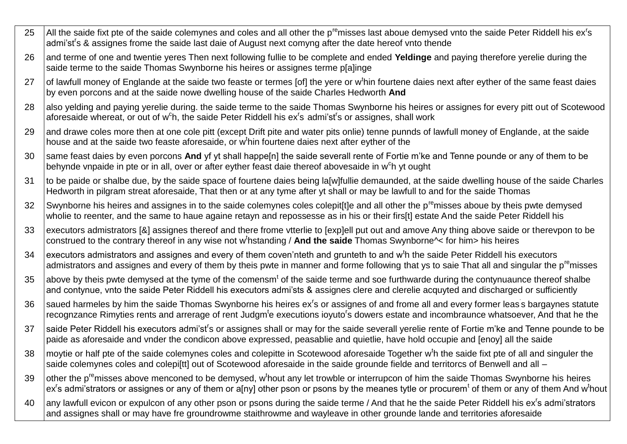- 25  $\parallel$  All the saide fixt pte of the saide colemynes and coles and all other the p<sup>re</sup>misses last aboue demysed vnto the saide Peter Riddell his ex<sup>r</sup>s admi'st<sup>r</sup>s & assignes frome the saide last daie of August next comyng after the date hereof vnto thende
- 26 and terme of one and twentie yeres Then next following fullie to be complete and ended **Yeldinge** and paying therefore yerelie during the saide terme to the saide Thomas Swynborne his heires or assignes terme p[a]inge
- 27  $\vert$  of lawfull money of Englande at the saide two feaste or termes [of] the yere or w<sup>t</sup>hin fourtene daies next after eyther of the same feast daies by even porcons and at the saide nowe dwelling house of the saide Charles Hedworth **And**
- 28 also yelding and paying yerelie during, the saide terme to the saide Thomas Swynborne his heires or assignes for every pitt out of Scotewood aforesaide whereat, or out of w<sup>c</sup>h, the saide Peter Riddell his ex<sup>r</sup>s admi'st<sup>r</sup>s or assignes, shall work
- 29 and drawe coles more then at one cole pitt (except Drift pite and water pits onlie) tenne punnds of lawfull money of Englande, at the saide house and at the saide two feaste aforesaide, or w<sup>t</sup>hin fourtene daies next after eyther of the
- 30 same feast daies by even porcons And yf yt shall happe<sup>[n]</sup> the saide severall rente of Fortie m'ke and Tenne pounde or any of them to be behynde vnpaide in pte or in all, over or after eyther feast daie thereof abovesaide in w<sup>c</sup>h yt ought
- 31 to be paide or shalbe due, by the saide space of fourtene daies being la[w]fullie demaunded, at the saide dwelling house of the saide Charles Hedworth in pilgram streat aforesaide, That then or at any tyme after yt shall or may be lawfull to and for the saide Thomas
- 32 Swynborne his heires and assignes in to the saide colemynes coles colepititie and all other the p<sup>re</sup>misses aboue by theis pwte demysed wholie to reenter, and the same to haue againe retayn and repossesse as in his or their firs[t] estate And the saide Peter Riddell his
- 33 executors admistrators [&] assignes thereof and there frome vtterlie to [exp]ell put out and amove Any thing above saide or therevpon to be construed to the contrary thereof in any wise not w<sup>t</sup>hstanding / And the saide Thomas Swynborne<sup> $\sim$ </sup> for him> his heires
- 34  $\,$  executors admistrators and assignes and every of them coven'nteth and grunteth to and w<sup>t</sup>h the saide Peter Riddell his executors admistrators and assignes and every of them by theis pwte in manner and forme following that ys to saie That all and singular the p<sup>re</sup>misses
- 35  $\,$  above by theis pwte demysed at the tyme of the comensm<sup>t</sup> of the saide terme and soe furthwarde during the contynuaunce thereof shalbe and contynue, vnto the saide Peter Riddell his executors admi'sts & assignes clere and clerelie acquyted and discharged or sufficiently
- 36 Saued harmeles by him the saide Thomas Swynborne his heires ex<sup>r</sup>s or assignes of and frome all and every former leas s bargaynes statute recognzance Rimyties rents and arrerage of rent Judgm<sup>t</sup>e executions ioyuto<sup>r</sup>s dowers estate and incombraunce whatsoever, And that he the
- 37 Saide Peter Riddell his executors admi'st<sup>r</sup>s or assignes shall or may for the saide severall yerelie rente of Fortie m'ke and Tenne pounde to be paide as aforesaide and vnder the condicon above expressed, peasablie and quietlie, have hold occupie and [enoy] all the saide
- 38  $\,$  moytie or half pte of the saide colemynes coles and colepitte in Scotewood aforesaide Together w<sup>t</sup>h the saide fixt pte of all and singuler the saide colemynes coles and colepi[tt] out of Scotewood aforesaide in the saide grounde fielde and territorcs of Benwell and all –
- 39  $\vert$ other the p<sup>re</sup>misses above menconed to be demysed, w<sup>t</sup>hout any let trowble or interrupcon of him the saide Thomas Swynborne his heires ex<sup>r</sup>s admi'strators or assignes or any of them or a[ny] other pson or psons by the meanes tytle or procurem<sup>t</sup> of them or any of them And w<sup>t</sup>hout
- 40 any lawfull evicon or expulcon of any other pson or psons during the saide terme / And that he the saide Peter Riddell his ex<sup>r</sup> s admi'strators and assignes shall or may have fre groundrowme staithrowme and wayleave in other grounde lande and territories aforesaide